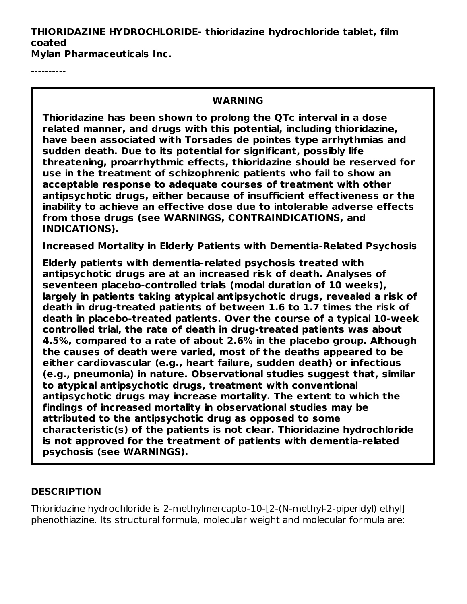**THIORIDAZINE HYDROCHLORIDE- thioridazine hydrochloride tablet, film coated**

**Mylan Pharmaceuticals Inc.**

----------

#### **WARNING**

**Thioridazine has been shown to prolong the QTc interval in a dose related manner, and drugs with this potential, including thioridazine, have been associated with Torsades de pointes type arrhythmias and sudden death. Due to its potential for significant, possibly life threatening, proarrhythmic effects, thioridazine should be reserved for use in the treatment of schizophrenic patients who fail to show an acceptable response to adequate courses of treatment with other antipsychotic drugs, either because of insufficient effectiveness or the inability to achieve an effective dose due to intolerable adverse effects from those drugs (see WARNINGS, CONTRAINDICATIONS, and INDICATIONS).**

#### **Increased Mortality in Elderly Patients with Dementia-Related Psychosis**

**Elderly patients with dementia-related psychosis treated with antipsychotic drugs are at an increased risk of death. Analyses of seventeen placebo-controlled trials (modal duration of 10 weeks), largely in patients taking atypical antipsychotic drugs, revealed a risk of death in drug-treated patients of between 1.6 to 1.7 times the risk of death in placebo-treated patients. Over the course of a typical 10-week controlled trial, the rate of death in drug-treated patients was about 4.5%, compared to a rate of about 2.6% in the placebo group. Although the causes of death were varied, most of the deaths appeared to be either cardiovascular (e.g., heart failure, sudden death) or infectious (e.g., pneumonia) in nature. Observational studies suggest that, similar to atypical antipsychotic drugs, treatment with conventional antipsychotic drugs may increase mortality. The extent to which the findings of increased mortality in observational studies may be attributed to the antipsychotic drug as opposed to some characteristic(s) of the patients is not clear. Thioridazine hydrochloride is not approved for the treatment of patients with dementia-related psychosis (see WARNINGS).**

#### **DESCRIPTION**

Thioridazine hydrochloride is 2-methylmercapto-10-[2-(N-methyl-2-piperidyl) ethyl] phenothiazine. Its structural formula, molecular weight and molecular formula are: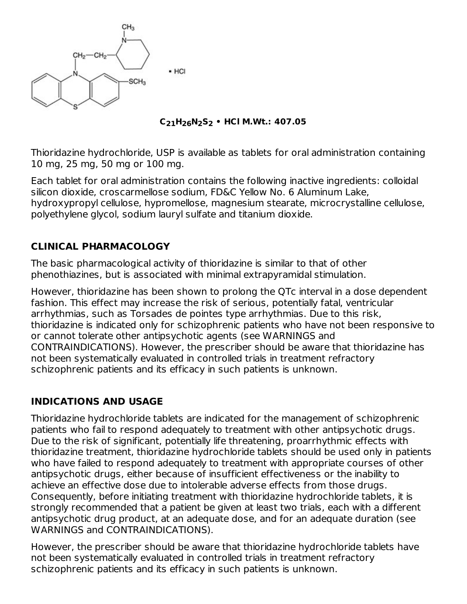

**C H N S • HCl M.Wt.: 407.05 21 26 2 2**

Thioridazine hydrochloride, USP is available as tablets for oral administration containing 10 mg, 25 mg, 50 mg or 100 mg.

Each tablet for oral administration contains the following inactive ingredients: colloidal silicon dioxide, croscarmellose sodium, FD&C Yellow No. 6 Aluminum Lake, hydroxypropyl cellulose, hypromellose, magnesium stearate, microcrystalline cellulose, polyethylene glycol, sodium lauryl sulfate and titanium dioxide.

# **CLINICAL PHARMACOLOGY**

The basic pharmacological activity of thioridazine is similar to that of other phenothiazines, but is associated with minimal extrapyramidal stimulation.

However, thioridazine has been shown to prolong the QTc interval in a dose dependent fashion. This effect may increase the risk of serious, potentially fatal, ventricular arrhythmias, such as Torsades de pointes type arrhythmias. Due to this risk, thioridazine is indicated only for schizophrenic patients who have not been responsive to or cannot tolerate other antipsychotic agents (see WARNINGS and CONTRAINDICATIONS). However, the prescriber should be aware that thioridazine has not been systematically evaluated in controlled trials in treatment refractory schizophrenic patients and its efficacy in such patients is unknown.

# **INDICATIONS AND USAGE**

Thioridazine hydrochloride tablets are indicated for the management of schizophrenic patients who fail to respond adequately to treatment with other antipsychotic drugs. Due to the risk of significant, potentially life threatening, proarrhythmic effects with thioridazine treatment, thioridazine hydrochloride tablets should be used only in patients who have failed to respond adequately to treatment with appropriate courses of other antipsychotic drugs, either because of insufficient effectiveness or the inability to achieve an effective dose due to intolerable adverse effects from those drugs. Consequently, before initiating treatment with thioridazine hydrochloride tablets, it is strongly recommended that a patient be given at least two trials, each with a different antipsychotic drug product, at an adequate dose, and for an adequate duration (see WARNINGS and CONTRAINDICATIONS).

However, the prescriber should be aware that thioridazine hydrochloride tablets have not been systematically evaluated in controlled trials in treatment refractory schizophrenic patients and its efficacy in such patients is unknown.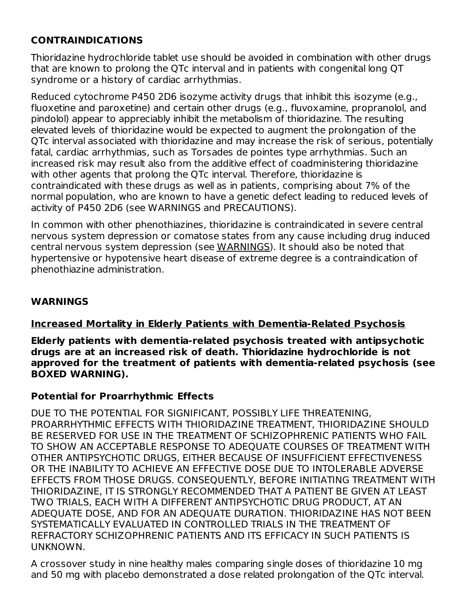# **CONTRAINDICATIONS**

Thioridazine hydrochloride tablet use should be avoided in combination with other drugs that are known to prolong the QTc interval and in patients with congenital long QT syndrome or a history of cardiac arrhythmias.

Reduced cytochrome P450 2D6 isozyme activity drugs that inhibit this isozyme (e.g., fluoxetine and paroxetine) and certain other drugs (e.g., fluvoxamine, propranolol, and pindolol) appear to appreciably inhibit the metabolism of thioridazine. The resulting elevated levels of thioridazine would be expected to augment the prolongation of the QTc interval associated with thioridazine and may increase the risk of serious, potentially fatal, cardiac arrhythmias, such as Torsades de pointes type arrhythmias. Such an increased risk may result also from the additive effect of coadministering thioridazine with other agents that prolong the QTc interval. Therefore, thioridazine is contraindicated with these drugs as well as in patients, comprising about 7% of the normal population, who are known to have a genetic defect leading to reduced levels of activity of P450 2D6 (see WARNINGS and PRECAUTIONS).

In common with other phenothiazines, thioridazine is contraindicated in severe central nervous system depression or comatose states from any cause including drug induced central nervous system depression (see WARNINGS). It should also be noted that hypertensive or hypotensive heart disease of extreme degree is a contraindication of phenothiazine administration.

## **WARNINGS**

#### **Increased Mortality in Elderly Patients with Dementia-Related Psychosis**

**Elderly patients with dementia-related psychosis treated with antipsychotic drugs are at an increased risk of death. Thioridazine hydrochloride is not approved for the treatment of patients with dementia-related psychosis (see BOXED WARNING).**

#### **Potential for Proarrhythmic Effects**

DUE TO THE POTENTIAL FOR SIGNIFICANT, POSSIBLY LIFE THREATENING, PROARRHYTHMIC EFFECTS WITH THIORIDAZINE TREATMENT, THIORIDAZINE SHOULD BE RESERVED FOR USE IN THE TREATMENT OF SCHIZOPHRENIC PATIENTS WHO FAIL TO SHOW AN ACCEPTABLE RESPONSE TO ADEQUATE COURSES OF TREATMENT WITH OTHER ANTIPSYCHOTIC DRUGS, EITHER BECAUSE OF INSUFFICIENT EFFECTIVENESS OR THE INABILITY TO ACHIEVE AN EFFECTIVE DOSE DUE TO INTOLERABLE ADVERSE EFFECTS FROM THOSE DRUGS. CONSEQUENTLY, BEFORE INITIATING TREATMENT WITH THIORIDAZINE, IT IS STRONGLY RECOMMENDED THAT A PATIENT BE GIVEN AT LEAST TWO TRIALS, EACH WITH A DIFFERENT ANTIPSYCHOTIC DRUG PRODUCT, AT AN ADEQUATE DOSE, AND FOR AN ADEQUATE DURATION. THIORIDAZINE HAS NOT BEEN SYSTEMATICALLY EVALUATED IN CONTROLLED TRIALS IN THE TREATMENT OF REFRACTORY SCHIZOPHRENIC PATIENTS AND ITS EFFICACY IN SUCH PATIENTS IS UNKNOWN.

A crossover study in nine healthy males comparing single doses of thioridazine 10 mg and 50 mg with placebo demonstrated a dose related prolongation of the QTc interval.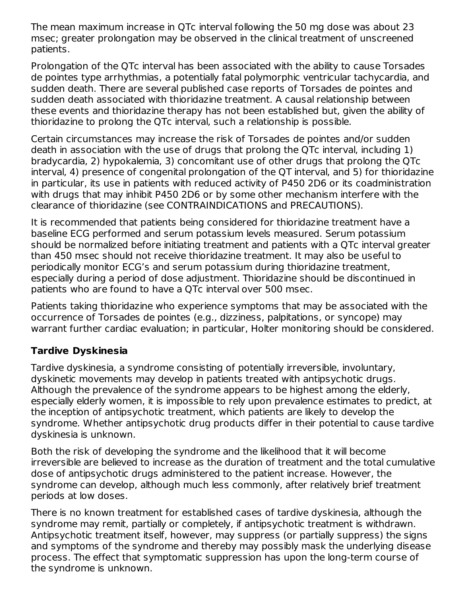The mean maximum increase in QTc interval following the 50 mg dose was about 23 msec; greater prolongation may be observed in the clinical treatment of unscreened patients.

Prolongation of the QTc interval has been associated with the ability to cause Torsades de pointes type arrhythmias, a potentially fatal polymorphic ventricular tachycardia, and sudden death. There are several published case reports of Torsades de pointes and sudden death associated with thioridazine treatment. A causal relationship between these events and thioridazine therapy has not been established but, given the ability of thioridazine to prolong the QTc interval, such a relationship is possible.

Certain circumstances may increase the risk of Torsades de pointes and/or sudden death in association with the use of drugs that prolong the QTc interval, including 1) bradycardia, 2) hypokalemia, 3) concomitant use of other drugs that prolong the QTc interval, 4) presence of congenital prolongation of the QT interval, and 5) for thioridazine in particular, its use in patients with reduced activity of P450 2D6 or its coadministration with drugs that may inhibit P450 2D6 or by some other mechanism interfere with the clearance of thioridazine (see CONTRAINDICATIONS and PRECAUTIONS).

It is recommended that patients being considered for thioridazine treatment have a baseline ECG performed and serum potassium levels measured. Serum potassium should be normalized before initiating treatment and patients with a QTc interval greater than 450 msec should not receive thioridazine treatment. It may also be useful to periodically monitor ECG's and serum potassium during thioridazine treatment, especially during a period of dose adjustment. Thioridazine should be discontinued in patients who are found to have a QTc interval over 500 msec.

Patients taking thioridazine who experience symptoms that may be associated with the occurrence of Torsades de pointes (e.g., dizziness, palpitations, or syncope) may warrant further cardiac evaluation; in particular, Holter monitoring should be considered.

# **Tardive Dyskinesia**

Tardive dyskinesia, a syndrome consisting of potentially irreversible, involuntary, dyskinetic movements may develop in patients treated with antipsychotic drugs. Although the prevalence of the syndrome appears to be highest among the elderly, especially elderly women, it is impossible to rely upon prevalence estimates to predict, at the inception of antipsychotic treatment, which patients are likely to develop the syndrome. Whether antipsychotic drug products differ in their potential to cause tardive dyskinesia is unknown.

Both the risk of developing the syndrome and the likelihood that it will become irreversible are believed to increase as the duration of treatment and the total cumulative dose of antipsychotic drugs administered to the patient increase. However, the syndrome can develop, although much less commonly, after relatively brief treatment periods at low doses.

There is no known treatment for established cases of tardive dyskinesia, although the syndrome may remit, partially or completely, if antipsychotic treatment is withdrawn. Antipsychotic treatment itself, however, may suppress (or partially suppress) the signs and symptoms of the syndrome and thereby may possibly mask the underlying disease process. The effect that symptomatic suppression has upon the long-term course of the syndrome is unknown.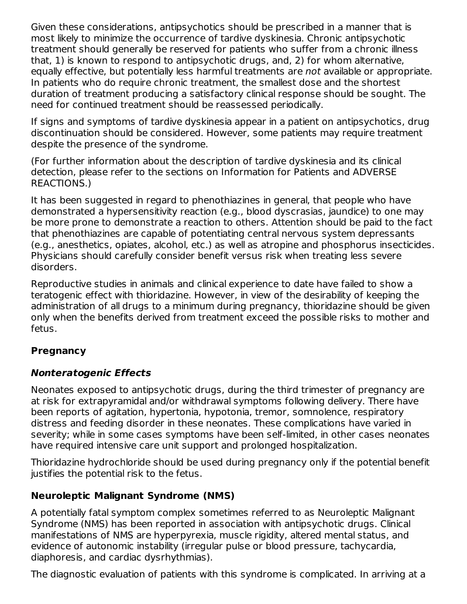Given these considerations, antipsychotics should be prescribed in a manner that is most likely to minimize the occurrence of tardive dyskinesia. Chronic antipsychotic treatment should generally be reserved for patients who suffer from a chronic illness that, 1) is known to respond to antipsychotic drugs, and, 2) for whom alternative, equally effective, but potentially less harmful treatments are not available or appropriate. In patients who do require chronic treatment, the smallest dose and the shortest duration of treatment producing a satisfactory clinical response should be sought. The need for continued treatment should be reassessed periodically.

If signs and symptoms of tardive dyskinesia appear in a patient on antipsychotics, drug discontinuation should be considered. However, some patients may require treatment despite the presence of the syndrome.

(For further information about the description of tardive dyskinesia and its clinical detection, please refer to the sections on Information for Patients and ADVERSE REACTIONS.)

It has been suggested in regard to phenothiazines in general, that people who have demonstrated a hypersensitivity reaction (e.g., blood dyscrasias, jaundice) to one may be more prone to demonstrate a reaction to others. Attention should be paid to the fact that phenothiazines are capable of potentiating central nervous system depressants (e.g., anesthetics, opiates, alcohol, etc.) as well as atropine and phosphorus insecticides. Physicians should carefully consider benefit versus risk when treating less severe disorders.

Reproductive studies in animals and clinical experience to date have failed to show a teratogenic effect with thioridazine. However, in view of the desirability of keeping the administration of all drugs to a minimum during pregnancy, thioridazine should be given only when the benefits derived from treatment exceed the possible risks to mother and fetus.

# **Pregnancy**

# **Nonteratogenic Effects**

Neonates exposed to antipsychotic drugs, during the third trimester of pregnancy are at risk for extrapyramidal and/or withdrawal symptoms following delivery. There have been reports of agitation, hypertonia, hypotonia, tremor, somnolence, respiratory distress and feeding disorder in these neonates. These complications have varied in severity; while in some cases symptoms have been self-limited, in other cases neonates have required intensive care unit support and prolonged hospitalization.

Thioridazine hydrochloride should be used during pregnancy only if the potential benefit justifies the potential risk to the fetus.

# **Neuroleptic Malignant Syndrome (NMS)**

A potentially fatal symptom complex sometimes referred to as Neuroleptic Malignant Syndrome (NMS) has been reported in association with antipsychotic drugs. Clinical manifestations of NMS are hyperpyrexia, muscle rigidity, altered mental status, and evidence of autonomic instability (irregular pulse or blood pressure, tachycardia, diaphoresis, and cardiac dysrhythmias).

The diagnostic evaluation of patients with this syndrome is complicated. In arriving at a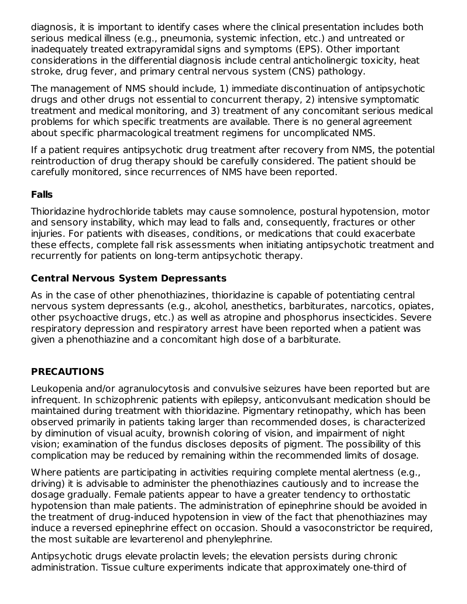diagnosis, it is important to identify cases where the clinical presentation includes both serious medical illness (e.g., pneumonia, systemic infection, etc.) and untreated or inadequately treated extrapyramidal signs and symptoms (EPS). Other important considerations in the differential diagnosis include central anticholinergic toxicity, heat stroke, drug fever, and primary central nervous system (CNS) pathology.

The management of NMS should include, 1) immediate discontinuation of antipsychotic drugs and other drugs not essential to concurrent therapy, 2) intensive symptomatic treatment and medical monitoring, and 3) treatment of any concomitant serious medical problems for which specific treatments are available. There is no general agreement about specific pharmacological treatment regimens for uncomplicated NMS.

If a patient requires antipsychotic drug treatment after recovery from NMS, the potential reintroduction of drug therapy should be carefully considered. The patient should be carefully monitored, since recurrences of NMS have been reported.

## **Falls**

Thioridazine hydrochloride tablets may cause somnolence, postural hypotension, motor and sensory instability, which may lead to falls and, consequently, fractures or other injuries. For patients with diseases, conditions, or medications that could exacerbate these effects, complete fall risk assessments when initiating antipsychotic treatment and recurrently for patients on long-term antipsychotic therapy.

## **Central Nervous System Depressants**

As in the case of other phenothiazines, thioridazine is capable of potentiating central nervous system depressants (e.g., alcohol, anesthetics, barbiturates, narcotics, opiates, other psychoactive drugs, etc.) as well as atropine and phosphorus insecticides. Severe respiratory depression and respiratory arrest have been reported when a patient was given a phenothiazine and a concomitant high dose of a barbiturate.

# **PRECAUTIONS**

Leukopenia and/or agranulocytosis and convulsive seizures have been reported but are infrequent. In schizophrenic patients with epilepsy, anticonvulsant medication should be maintained during treatment with thioridazine. Pigmentary retinopathy, which has been observed primarily in patients taking larger than recommended doses, is characterized by diminution of visual acuity, brownish coloring of vision, and impairment of night vision; examination of the fundus discloses deposits of pigment. The possibility of this complication may be reduced by remaining within the recommended limits of dosage.

Where patients are participating in activities requiring complete mental alertness (e.g., driving) it is advisable to administer the phenothiazines cautiously and to increase the dosage gradually. Female patients appear to have a greater tendency to orthostatic hypotension than male patients. The administration of epinephrine should be avoided in the treatment of drug-induced hypotension in view of the fact that phenothiazines may induce a reversed epinephrine effect on occasion. Should a vasoconstrictor be required, the most suitable are levarterenol and phenylephrine.

Antipsychotic drugs elevate prolactin levels; the elevation persists during chronic administration. Tissue culture experiments indicate that approximately one-third of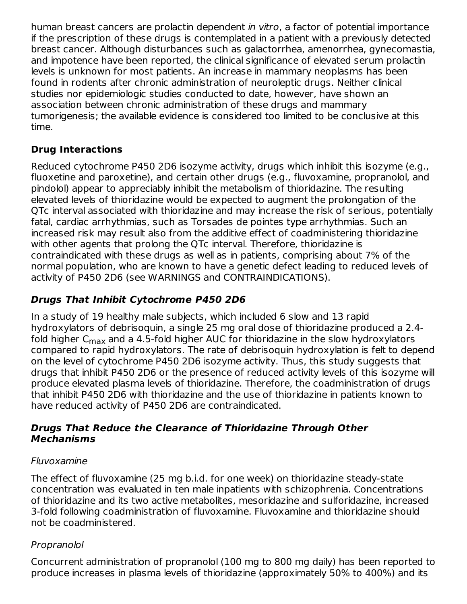human breast cancers are prolactin dependent *in vitro*, a factor of potential importance if the prescription of these drugs is contemplated in a patient with a previously detected breast cancer. Although disturbances such as galactorrhea, amenorrhea, gynecomastia, and impotence have been reported, the clinical significance of elevated serum prolactin levels is unknown for most patients. An increase in mammary neoplasms has been found in rodents after chronic administration of neuroleptic drugs. Neither clinical studies nor epidemiologic studies conducted to date, however, have shown an association between chronic administration of these drugs and mammary tumorigenesis; the available evidence is considered too limited to be conclusive at this time.

# **Drug Interactions**

Reduced cytochrome P450 2D6 isozyme activity, drugs which inhibit this isozyme (e.g., fluoxetine and paroxetine), and certain other drugs (e.g., fluvoxamine, propranolol, and pindolol) appear to appreciably inhibit the metabolism of thioridazine. The resulting elevated levels of thioridazine would be expected to augment the prolongation of the QTc interval associated with thioridazine and may increase the risk of serious, potentially fatal, cardiac arrhythmias, such as Torsades de pointes type arrhythmias. Such an increased risk may result also from the additive effect of coadministering thioridazine with other agents that prolong the QTc interval. Therefore, thioridazine is contraindicated with these drugs as well as in patients, comprising about 7% of the normal population, who are known to have a genetic defect leading to reduced levels of activity of P450 2D6 (see WARNINGS and CONTRAINDICATIONS).

# **Drugs That Inhibit Cytochrome P450 2D6**

In a study of 19 healthy male subjects, which included 6 slow and 13 rapid hydroxylators of debrisoquin, a single 25 mg oral dose of thioridazine produced a 2.4 fold higher C $_{\sf max}$  and a 4.5-fold higher AUC for thioridazine in the slow hydroxylators compared to rapid hydroxylators. The rate of debrisoquin hydroxylation is felt to depend on the level of cytochrome P450 2D6 isozyme activity. Thus, this study suggests that drugs that inhibit P450 2D6 or the presence of reduced activity levels of this isozyme will produce elevated plasma levels of thioridazine. Therefore, the coadministration of drugs that inhibit P450 2D6 with thioridazine and the use of thioridazine in patients known to have reduced activity of P450 2D6 are contraindicated.

# **Drugs That Reduce the Clearance of Thioridazine Through Other Mechanisms**

# Fluvoxamine

The effect of fluvoxamine (25 mg b.i.d. for one week) on thioridazine steady-state concentration was evaluated in ten male inpatients with schizophrenia. Concentrations of thioridazine and its two active metabolites, mesoridazine and sulforidazine, increased 3-fold following coadministration of fluvoxamine. Fluvoxamine and thioridazine should not be coadministered.

# Propranolol

Concurrent administration of propranolol (100 mg to 800 mg daily) has been reported to produce increases in plasma levels of thioridazine (approximately 50% to 400%) and its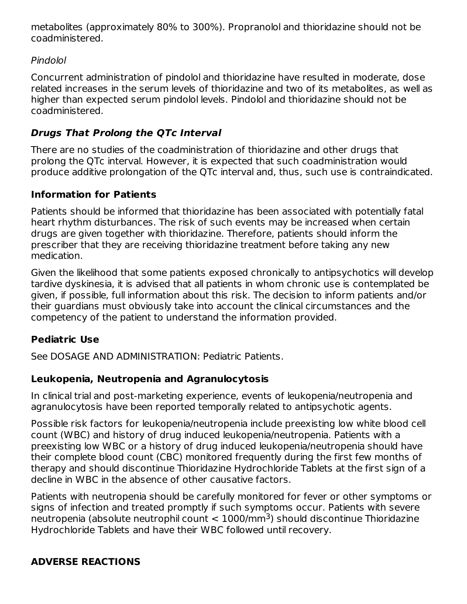metabolites (approximately 80% to 300%). Propranolol and thioridazine should not be coadministered.

# Pindolol

Concurrent administration of pindolol and thioridazine have resulted in moderate, dose related increases in the serum levels of thioridazine and two of its metabolites, as well as higher than expected serum pindolol levels. Pindolol and thioridazine should not be coadministered.

# **Drugs That Prolong the QTc Interval**

There are no studies of the coadministration of thioridazine and other drugs that prolong the QTc interval. However, it is expected that such coadministration would produce additive prolongation of the QTc interval and, thus, such use is contraindicated.

# **Information for Patients**

Patients should be informed that thioridazine has been associated with potentially fatal heart rhythm disturbances. The risk of such events may be increased when certain drugs are given together with thioridazine. Therefore, patients should inform the prescriber that they are receiving thioridazine treatment before taking any new medication.

Given the likelihood that some patients exposed chronically to antipsychotics will develop tardive dyskinesia, it is advised that all patients in whom chronic use is contemplated be given, if possible, full information about this risk. The decision to inform patients and/or their guardians must obviously take into account the clinical circumstances and the competency of the patient to understand the information provided.

# **Pediatric Use**

See DOSAGE AND ADMINISTRATION: Pediatric Patients.

# **Leukopenia, Neutropenia and Agranulocytosis**

In clinical trial and post-marketing experience, events of leukopenia/neutropenia and agranulocytosis have been reported temporally related to antipsychotic agents.

Possible risk factors for leukopenia/neutropenia include preexisting low white blood cell count (WBC) and history of drug induced leukopenia/neutropenia. Patients with a preexisting low WBC or a history of drug induced leukopenia/neutropenia should have their complete blood count (CBC) monitored frequently during the first few months of therapy and should discontinue Thioridazine Hydrochloride Tablets at the first sign of a decline in WBC in the absence of other causative factors.

Patients with neutropenia should be carefully monitored for fever or other symptoms or signs of infection and treated promptly if such symptoms occur. Patients with severe neutropenia (absolute neutrophil count  $< 1000/\mathrm{mm}^3$ ) should discontinue Thioridazine Hydrochloride Tablets and have their WBC followed until recovery.

# **ADVERSE REACTIONS**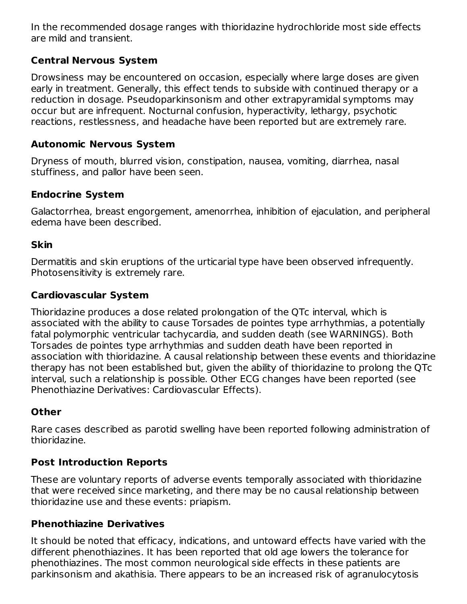In the recommended dosage ranges with thioridazine hydrochloride most side effects are mild and transient.

# **Central Nervous System**

Drowsiness may be encountered on occasion, especially where large doses are given early in treatment. Generally, this effect tends to subside with continued therapy or a reduction in dosage. Pseudoparkinsonism and other extrapyramidal symptoms may occur but are infrequent. Nocturnal confusion, hyperactivity, lethargy, psychotic reactions, restlessness, and headache have been reported but are extremely rare.

# **Autonomic Nervous System**

Dryness of mouth, blurred vision, constipation, nausea, vomiting, diarrhea, nasal stuffiness, and pallor have been seen.

# **Endocrine System**

Galactorrhea, breast engorgement, amenorrhea, inhibition of ejaculation, and peripheral edema have been described.

# **Skin**

Dermatitis and skin eruptions of the urticarial type have been observed infrequently. Photosensitivity is extremely rare.

# **Cardiovascular System**

Thioridazine produces a dose related prolongation of the QTc interval, which is associated with the ability to cause Torsades de pointes type arrhythmias, a potentially fatal polymorphic ventricular tachycardia, and sudden death (see WARNINGS). Both Torsades de pointes type arrhythmias and sudden death have been reported in association with thioridazine. A causal relationship between these events and thioridazine therapy has not been established but, given the ability of thioridazine to prolong the QTc interval, such a relationship is possible. Other ECG changes have been reported (see Phenothiazine Derivatives: Cardiovascular Effects).

# **Other**

Rare cases described as parotid swelling have been reported following administration of thioridazine.

# **Post Introduction Reports**

These are voluntary reports of adverse events temporally associated with thioridazine that were received since marketing, and there may be no causal relationship between thioridazine use and these events: priapism.

# **Phenothiazine Derivatives**

It should be noted that efficacy, indications, and untoward effects have varied with the different phenothiazines. It has been reported that old age lowers the tolerance for phenothiazines. The most common neurological side effects in these patients are parkinsonism and akathisia. There appears to be an increased risk of agranulocytosis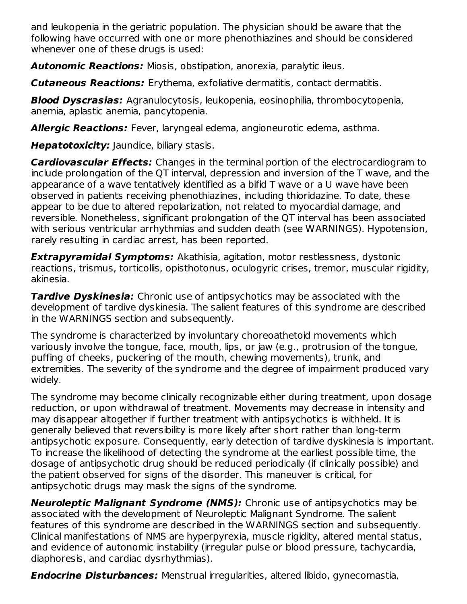and leukopenia in the geriatric population. The physician should be aware that the following have occurred with one or more phenothiazines and should be considered whenever one of these drugs is used:

**Autonomic Reactions:** Miosis, obstipation, anorexia, paralytic ileus.

**Cutaneous Reactions:** Erythema, exfoliative dermatitis, contact dermatitis.

**Blood Dyscrasias:** Agranulocytosis, leukopenia, eosinophilia, thrombocytopenia, anemia, aplastic anemia, pancytopenia.

**Allergic Reactions:** Fever, laryngeal edema, angioneurotic edema, asthma.

**Hepatotoxicity:** Jaundice, biliary stasis.

**Cardiovascular Effects:** Changes in the terminal portion of the electrocardiogram to include prolongation of the QT interval, depression and inversion of the T wave, and the appearance of a wave tentatively identified as a bifid T wave or a U wave have been observed in patients receiving phenothiazines, including thioridazine. To date, these appear to be due to altered repolarization, not related to myocardial damage, and reversible. Nonetheless, significant prolongation of the QT interval has been associated with serious ventricular arrhythmias and sudden death (see WARNINGS). Hypotension, rarely resulting in cardiac arrest, has been reported.

**Extrapyramidal Symptoms:** Akathisia, agitation, motor restlessness, dystonic reactions, trismus, torticollis, opisthotonus, oculogyric crises, tremor, muscular rigidity, akinesia.

**Tardive Dyskinesia:** Chronic use of antipsychotics may be associated with the development of tardive dyskinesia. The salient features of this syndrome are described in the WARNINGS section and subsequently.

The syndrome is characterized by involuntary choreoathetoid movements which variously involve the tongue, face, mouth, lips, or jaw (e.g., protrusion of the tongue, puffing of cheeks, puckering of the mouth, chewing movements), trunk, and extremities. The severity of the syndrome and the degree of impairment produced vary widely.

The syndrome may become clinically recognizable either during treatment, upon dosage reduction, or upon withdrawal of treatment. Movements may decrease in intensity and may disappear altogether if further treatment with antipsychotics is withheld. It is generally believed that reversibility is more likely after short rather than long-term antipsychotic exposure. Consequently, early detection of tardive dyskinesia is important. To increase the likelihood of detecting the syndrome at the earliest possible time, the dosage of antipsychotic drug should be reduced periodically (if clinically possible) and the patient observed for signs of the disorder. This maneuver is critical, for antipsychotic drugs may mask the signs of the syndrome.

**Neuroleptic Malignant Syndrome (NMS):** Chronic use of antipsychotics may be associated with the development of Neuroleptic Malignant Syndrome. The salient features of this syndrome are described in the WARNINGS section and subsequently. Clinical manifestations of NMS are hyperpyrexia, muscle rigidity, altered mental status, and evidence of autonomic instability (irregular pulse or blood pressure, tachycardia, diaphoresis, and cardiac dysrhythmias).

**Endocrine Disturbances:** Menstrual irregularities, altered libido, gynecomastia,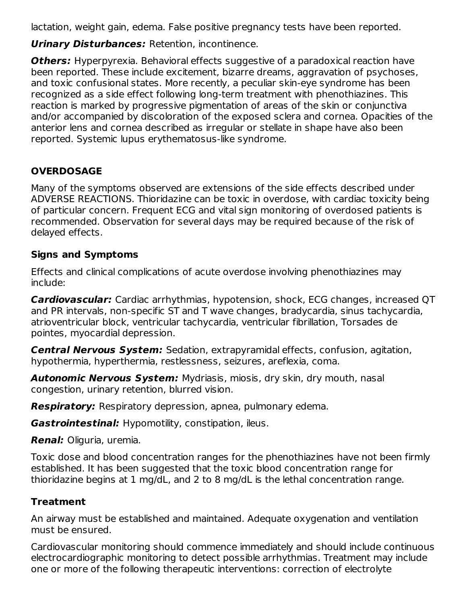lactation, weight gain, edema. False positive pregnancy tests have been reported.

**Urinary Disturbances:** Retention, incontinence.

**Others:** Hyperpyrexia. Behavioral effects suggestive of a paradoxical reaction have been reported. These include excitement, bizarre dreams, aggravation of psychoses, and toxic confusional states. More recently, a peculiar skin-eye syndrome has been recognized as a side effect following long-term treatment with phenothiazines. This reaction is marked by progressive pigmentation of areas of the skin or conjunctiva and/or accompanied by discoloration of the exposed sclera and cornea. Opacities of the anterior lens and cornea described as irregular or stellate in shape have also been reported. Systemic lupus erythematosus-like syndrome.

# **OVERDOSAGE**

Many of the symptoms observed are extensions of the side effects described under ADVERSE REACTIONS. Thioridazine can be toxic in overdose, with cardiac toxicity being of particular concern. Frequent ECG and vital sign monitoring of overdosed patients is recommended. Observation for several days may be required because of the risk of delayed effects.

# **Signs and Symptoms**

Effects and clinical complications of acute overdose involving phenothiazines may include:

**Cardiovascular:** Cardiac arrhythmias, hypotension, shock, ECG changes, increased QT and PR intervals, non-specific ST and T wave changes, bradycardia, sinus tachycardia, atrioventricular block, ventricular tachycardia, ventricular fibrillation, Torsades de pointes, myocardial depression.

**Central Nervous System:** Sedation, extrapyramidal effects, confusion, agitation, hypothermia, hyperthermia, restlessness, seizures, areflexia, coma.

**Autonomic Nervous System:** Mydriasis, miosis, dry skin, dry mouth, nasal congestion, urinary retention, blurred vision.

**Respiratory:** Respiratory depression, apnea, pulmonary edema.

**Gastrointestinal:** Hypomotility, constipation, ileus.

**Renal:** Oliguria, uremia.

Toxic dose and blood concentration ranges for the phenothiazines have not been firmly established. It has been suggested that the toxic blood concentration range for thioridazine begins at 1 mg/dL, and 2 to 8 mg/dL is the lethal concentration range.

# **Treatment**

An airway must be established and maintained. Adequate oxygenation and ventilation must be ensured.

Cardiovascular monitoring should commence immediately and should include continuous electrocardiographic monitoring to detect possible arrhythmias. Treatment may include one or more of the following therapeutic interventions: correction of electrolyte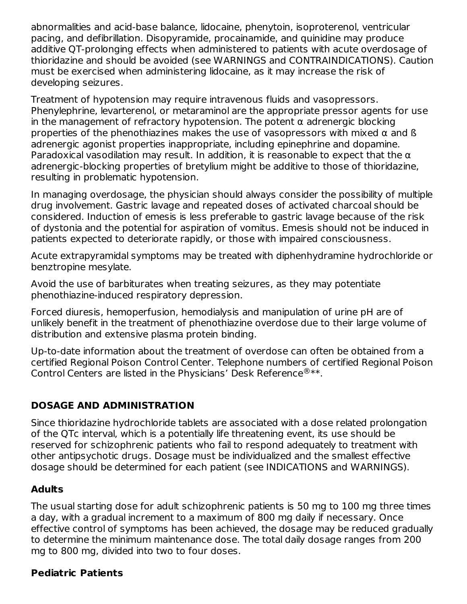abnormalities and acid-base balance, lidocaine, phenytoin, isoproterenol, ventricular pacing, and defibrillation. Disopyramide, procainamide, and quinidine may produce additive QT-prolonging effects when administered to patients with acute overdosage of thioridazine and should be avoided (see WARNINGS and CONTRAINDICATIONS). Caution must be exercised when administering lidocaine, as it may increase the risk of developing seizures.

Treatment of hypotension may require intravenous fluids and vasopressors. Phenylephrine, levarterenol, or metaraminol are the appropriate pressor agents for use in the management of refractory hypotension. The potent  $\alpha$  adrenergic blocking properties of the phenothiazines makes the use of vasopressors with mixed  $\alpha$  and ß adrenergic agonist properties inappropriate, including epinephrine and dopamine. Paradoxical vasodilation may result. In addition, it is reasonable to expect that the  $\alpha$ adrenergic-blocking properties of bretylium might be additive to those of thioridazine, resulting in problematic hypotension.

In managing overdosage, the physician should always consider the possibility of multiple drug involvement. Gastric lavage and repeated doses of activated charcoal should be considered. Induction of emesis is less preferable to gastric lavage because of the risk of dystonia and the potential for aspiration of vomitus. Emesis should not be induced in patients expected to deteriorate rapidly, or those with impaired consciousness.

Acute extrapyramidal symptoms may be treated with diphenhydramine hydrochloride or benztropine mesylate.

Avoid the use of barbiturates when treating seizures, as they may potentiate phenothiazine-induced respiratory depression.

Forced diuresis, hemoperfusion, hemodialysis and manipulation of urine pH are of unlikely benefit in the treatment of phenothiazine overdose due to their large volume of distribution and extensive plasma protein binding.

Up-to-date information about the treatment of overdose can often be obtained from a certified Regional Poison Control Center. Telephone numbers of certified Regional Poison Control Centers are listed in the Physicians' Desk Reference $^{\circledR**}$ .

# **DOSAGE AND ADMINISTRATION**

Since thioridazine hydrochloride tablets are associated with a dose related prolongation of the QTc interval, which is a potentially life threatening event, its use should be reserved for schizophrenic patients who fail to respond adequately to treatment with other antipsychotic drugs. Dosage must be individualized and the smallest effective dosage should be determined for each patient (see INDICATIONS and WARNINGS).

# **Adults**

The usual starting dose for adult schizophrenic patients is 50 mg to 100 mg three times a day, with a gradual increment to a maximum of 800 mg daily if necessary. Once effective control of symptoms has been achieved, the dosage may be reduced gradually to determine the minimum maintenance dose. The total daily dosage ranges from 200 mg to 800 mg, divided into two to four doses.

#### **Pediatric Patients**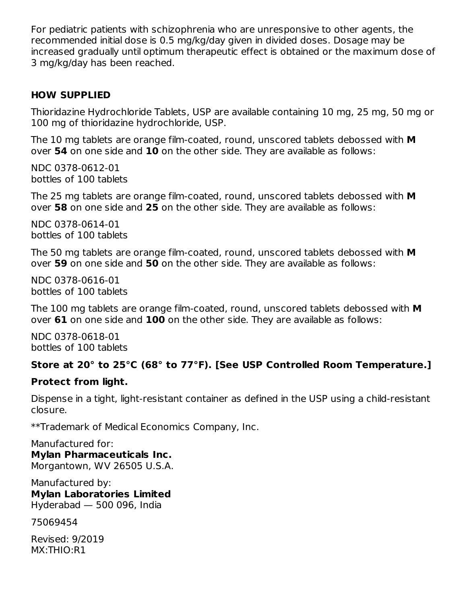For pediatric patients with schizophrenia who are unresponsive to other agents, the recommended initial dose is 0.5 mg/kg/day given in divided doses. Dosage may be increased gradually until optimum therapeutic effect is obtained or the maximum dose of 3 mg/kg/day has been reached.

## **HOW SUPPLIED**

Thioridazine Hydrochloride Tablets, USP are available containing 10 mg, 25 mg, 50 mg or 100 mg of thioridazine hydrochloride, USP.

The 10 mg tablets are orange film-coated, round, unscored tablets debossed with **M** over **54** on one side and **10** on the other side. They are available as follows:

NDC 0378-0612-01 bottles of 100 tablets

The 25 mg tablets are orange film-coated, round, unscored tablets debossed with **M** over **58** on one side and **25** on the other side. They are available as follows:

NDC 0378-0614-01 bottles of 100 tablets

The 50 mg tablets are orange film-coated, round, unscored tablets debossed with **M** over **59** on one side and **50** on the other side. They are available as follows:

NDC 0378-0616-01 bottles of 100 tablets

The 100 mg tablets are orange film-coated, round, unscored tablets debossed with **M** over **61** on one side and **100** on the other side. They are available as follows:

NDC 0378-0618-01 bottles of 100 tablets

# **Store at 20° to 25°C (68° to 77°F). [See USP Controlled Room Temperature.]**

#### **Protect from light.**

Dispense in a tight, light-resistant container as defined in the USP using a child-resistant closure.

\*\*Trademark of Medical Economics Company, Inc.

Manufactured for: **Mylan Pharmaceuticals Inc.** Morgantown, WV 26505 U.S.A.

Manufactured by: **Mylan Laboratories Limited** Hyderabad — 500 096, India

75069454

Revised: 9/2019 MX:THIO:R1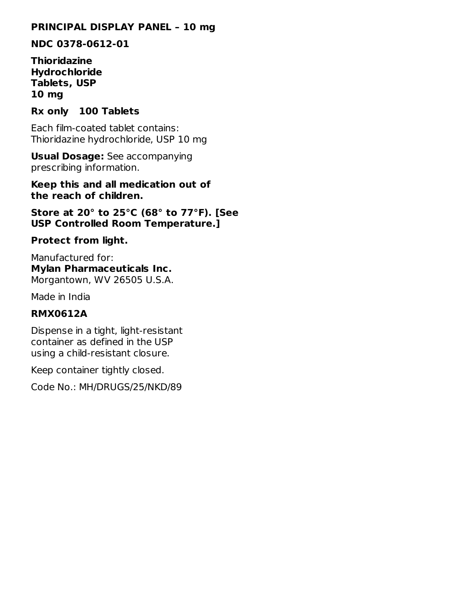## **PRINCIPAL DISPLAY PANEL – 10 mg**

**NDC 0378-0612-01**

**Thioridazine Hydrochloride Tablets, USP 10 mg**

#### **Rx only 100 Tablets**

Each film-coated tablet contains: Thioridazine hydrochloride, USP 10 mg

**Usual Dosage:** See accompanying prescribing information.

**Keep this and all medication out of the reach of children.**

**Store at 20° to 25°C (68° to 77°F). [See USP Controlled Room Temperature.]**

#### **Protect from light.**

Manufactured for: **Mylan Pharmaceuticals Inc.** Morgantown, WV 26505 U.S.A.

Made in India

#### **RMX0612A**

Dispense in a tight, light-resistant container as defined in the USP using a child-resistant closure.

Keep container tightly closed.

Code No.: MH/DRUGS/25/NKD/89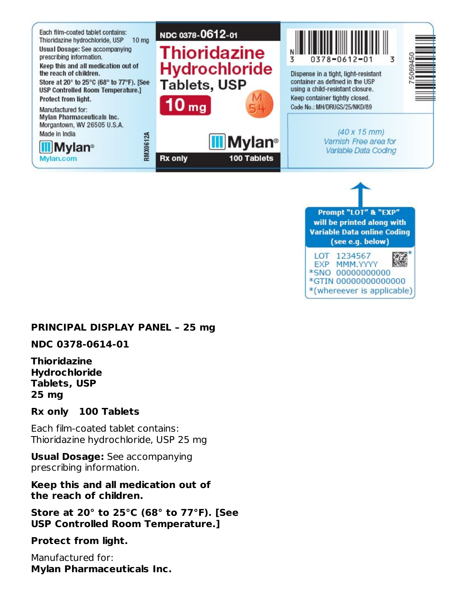

will be printed along with **Variable Data online Coding** (see e.g. below)

LOT 1234567 EXP MMM.YYYY \*SNO 00000000000 \*GTIN 00000000000000 \*(whereever is applicable)

#### **PRINCIPAL DISPLAY PANEL – 25 mg**

**NDC 0378-0614-01**

**Thioridazine Hydrochloride Tablets, USP 25 mg**

#### **Rx only 100 Tablets**

Each film-coated tablet contains: Thioridazine hydrochloride, USP 25 mg

**Usual Dosage:** See accompanying prescribing information.

**Keep this and all medication out of the reach of children.**

**Store at 20° to 25°C (68° to 77°F). [See USP Controlled Room Temperature.]**

**Protect from light.**

Manufactured for: **Mylan Pharmaceuticals Inc.**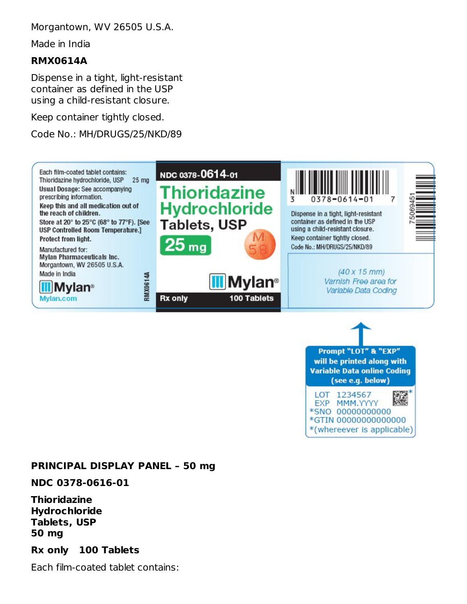Morgantown, WV 26505 U.S.A.

Made in India

## **RMX0614A**

Dispense in a tight, light-resistant container as defined in the USP using a child-resistant closure.

Keep container tightly closed.

Code No.: MH/DRUGS/25/NKD/89



\*SNO 00000000000 \*GTIN 00000000000000 \*(whereever is applicable)

#### **PRINCIPAL DISPLAY PANEL – 50 mg**

**NDC 0378-0616-01**

**Thioridazine Hydrochloride Tablets, USP 50 mg**

**Rx only 100 Tablets**

Each film-coated tablet contains: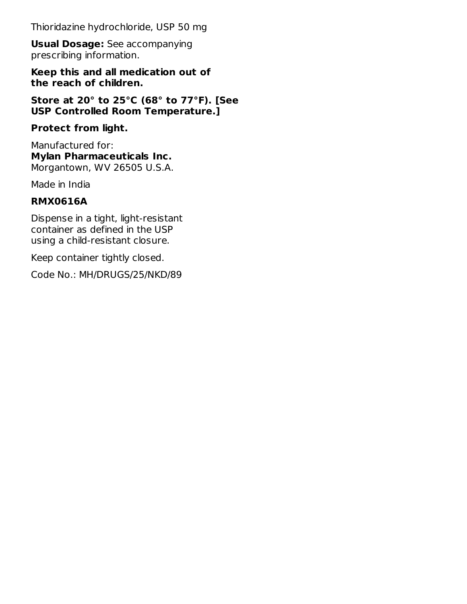Thioridazine hydrochloride, USP 50 mg

**Usual Dosage:** See accompanying prescribing information.

#### **Keep this and all medication out of the reach of children.**

**Store at 20° to 25°C (68° to 77°F). [See USP Controlled Room Temperature.]**

#### **Protect from light.**

Manufactured for: **Mylan Pharmaceuticals Inc.** Morgantown, WV 26505 U.S.A.

Made in India

# **RMX0616A**

Dispense in a tight, light-resistant container as defined in the USP using a child-resistant closure.

Keep container tightly closed.

Code No.: MH/DRUGS/25/NKD/89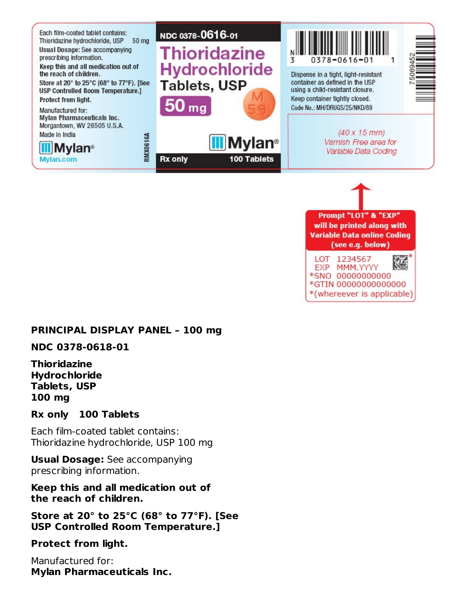

will be printed along with **Variable Data online Coding** (see e.g. below)

LOT 1234567 EXP MMM.YYYY \*SNO 00000000000 \*GTIN 00000000000000 \*(whereever is applicable)

#### **PRINCIPAL DISPLAY PANEL – 100 mg**

**NDC 0378-0618-01**

**Thioridazine Hydrochloride Tablets, USP 100 mg**

#### **Rx only 100 Tablets**

Each film-coated tablet contains: Thioridazine hydrochloride, USP 100 mg

**Usual Dosage:** See accompanying prescribing information.

**Keep this and all medication out of the reach of children.**

**Store at 20° to 25°C (68° to 77°F). [See USP Controlled Room Temperature.]**

**Protect from light.**

Manufactured for: **Mylan Pharmaceuticals Inc.**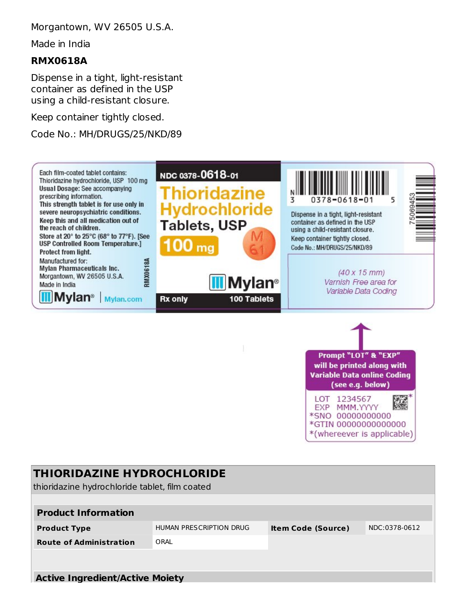Morgantown, WV 26505 U.S.A.

Made in India

#### **RMX0618A**

Dispense in a tight, light-resistant container as defined in the USP using a child-resistant closure.

Keep container tightly closed.

Code No.: MH/DRUGS/25/NKD/89



| <b>THIORIDAZINE HYDROCHLORIDE</b><br>thioridazine hydrochloride tablet, film coated |                         |                           |               |  |  |  |  |  |
|-------------------------------------------------------------------------------------|-------------------------|---------------------------|---------------|--|--|--|--|--|
| <b>Product Information</b>                                                          |                         |                           |               |  |  |  |  |  |
| <b>Product Type</b>                                                                 | HUMAN PRESCRIPTION DRUG | <b>Item Code (Source)</b> | NDC:0378-0612 |  |  |  |  |  |
| <b>Route of Administration</b>                                                      | ORAL                    |                           |               |  |  |  |  |  |
|                                                                                     |                         |                           |               |  |  |  |  |  |
| <b>Active Ingredient/Active Moiety</b>                                              |                         |                           |               |  |  |  |  |  |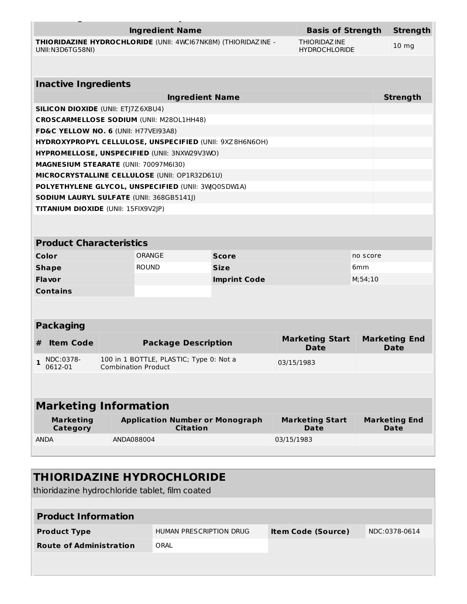|                                                                                        |                                                                                     | <b>Ingredient Name</b>                                        |                     |                                       | <b>Basis of Strength</b><br><b>Strength</b> |                                     |  |  |
|----------------------------------------------------------------------------------------|-------------------------------------------------------------------------------------|---------------------------------------------------------------|---------------------|---------------------------------------|---------------------------------------------|-------------------------------------|--|--|
| UNII:N3D6TG58NI)                                                                       |                                                                                     | THIORIDAZINE HYDROCHLORIDE (UNII: 4WCI67NK8M) (THIORIDAZINE - |                     | THIORIDAZ INE<br><b>HYDROCHLORIDE</b> |                                             | 10 <sub>mg</sub>                    |  |  |
|                                                                                        |                                                                                     |                                                               |                     |                                       |                                             |                                     |  |  |
|                                                                                        |                                                                                     |                                                               |                     |                                       |                                             |                                     |  |  |
| <b>Inactive Ingredients</b>                                                            |                                                                                     |                                                               |                     |                                       |                                             |                                     |  |  |
| <b>Ingredient Name</b><br><b>Strength</b><br><b>SILICON DIOXIDE (UNII: ETJ7Z6XBU4)</b> |                                                                                     |                                                               |                     |                                       |                                             |                                     |  |  |
|                                                                                        |                                                                                     | <b>CROSCARMELLOSE SODIUM (UNII: M280L1HH48)</b>               |                     |                                       |                                             |                                     |  |  |
| FD&C YELLOW NO. 6 (UNII: H77VEI93A8)                                                   |                                                                                     |                                                               |                     |                                       |                                             |                                     |  |  |
|                                                                                        |                                                                                     | HYDROXYPROPYL CELLULOSE, UNSPECIFIED (UNII: 9XZ8H6N6OH)       |                     |                                       |                                             |                                     |  |  |
|                                                                                        |                                                                                     | HYPROMELLOSE, UNSPECIFIED (UNII: 3NXW29V3WO)                  |                     |                                       |                                             |                                     |  |  |
| <b>MAGNESIUM STEARATE (UNII: 70097M6I30)</b>                                           |                                                                                     |                                                               |                     |                                       |                                             |                                     |  |  |
|                                                                                        |                                                                                     | MICROCRYSTALLINE CELLULOSE (UNII: OP1R32D61U)                 |                     |                                       |                                             |                                     |  |  |
|                                                                                        |                                                                                     | POLYETHYLENE GLYCOL, UNSPECIFIED (UNII: 3WQ0SDWLA)            |                     |                                       |                                             |                                     |  |  |
|                                                                                        |                                                                                     | <b>SODIUM LAURYL SULFATE (UNII: 368GB5141))</b>               |                     |                                       |                                             |                                     |  |  |
| <b>TITANIUM DIOXIDE (UNII: 15FIX9V2JP)</b>                                             |                                                                                     |                                                               |                     |                                       |                                             |                                     |  |  |
|                                                                                        |                                                                                     |                                                               |                     |                                       |                                             |                                     |  |  |
|                                                                                        |                                                                                     |                                                               |                     |                                       |                                             |                                     |  |  |
| <b>Product Characteristics</b>                                                         |                                                                                     |                                                               |                     |                                       |                                             |                                     |  |  |
| Color                                                                                  |                                                                                     | ORANGE                                                        | <b>Score</b>        |                                       | no score                                    |                                     |  |  |
| <b>Shape</b>                                                                           |                                                                                     | <b>ROUND</b>                                                  | <b>Size</b>         |                                       | 6 <sub>mm</sub>                             |                                     |  |  |
| <b>Flavor</b>                                                                          |                                                                                     |                                                               | <b>Imprint Code</b> |                                       | M; 54; 10                                   |                                     |  |  |
| <b>Contains</b>                                                                        |                                                                                     |                                                               |                     |                                       |                                             |                                     |  |  |
|                                                                                        |                                                                                     |                                                               |                     |                                       |                                             |                                     |  |  |
|                                                                                        |                                                                                     |                                                               |                     |                                       |                                             |                                     |  |  |
| <b>Packaging</b>                                                                       |                                                                                     |                                                               |                     |                                       |                                             |                                     |  |  |
| <b>Item Code</b><br>#                                                                  |                                                                                     | <b>Package Description</b>                                    |                     | <b>Marketing Start</b><br><b>Date</b> |                                             | <b>Marketing End</b><br><b>Date</b> |  |  |
| NDC:0378-<br>$\mathbf{1}$<br>0612-01                                                   | 100 in 1 BOTTLE, PLASTIC; Type 0: Not a<br>03/15/1983<br><b>Combination Product</b> |                                                               |                     |                                       |                                             |                                     |  |  |
|                                                                                        |                                                                                     |                                                               |                     |                                       |                                             |                                     |  |  |
|                                                                                        |                                                                                     |                                                               |                     |                                       |                                             |                                     |  |  |
| <b>Marketing Information</b>                                                           |                                                                                     |                                                               |                     |                                       |                                             |                                     |  |  |
| <b>Marketing</b><br>Category                                                           |                                                                                     | <b>Application Number or Monograph</b><br><b>Citation</b>     |                     | <b>Marketing Start</b><br><b>Date</b> |                                             | <b>Marketing End</b><br><b>Date</b> |  |  |
| <b>ANDA</b>                                                                            |                                                                                     | ANDA088004                                                    |                     | 03/15/1983                            |                                             |                                     |  |  |

| <b>THIORIDAZINE HYDROCHLORIDE</b><br>thioridazine hydrochloride tablet, film coated |                         |                           |               |  |  |  |  |  |
|-------------------------------------------------------------------------------------|-------------------------|---------------------------|---------------|--|--|--|--|--|
|                                                                                     |                         |                           |               |  |  |  |  |  |
| <b>Product Information</b>                                                          |                         |                           |               |  |  |  |  |  |
| <b>Product Type</b>                                                                 | HUMAN PRESCRIPTION DRUG | <b>Item Code (Source)</b> | NDC:0378-0614 |  |  |  |  |  |
| <b>Route of Administration</b><br>ORAL                                              |                         |                           |               |  |  |  |  |  |
|                                                                                     |                         |                           |               |  |  |  |  |  |
|                                                                                     |                         |                           |               |  |  |  |  |  |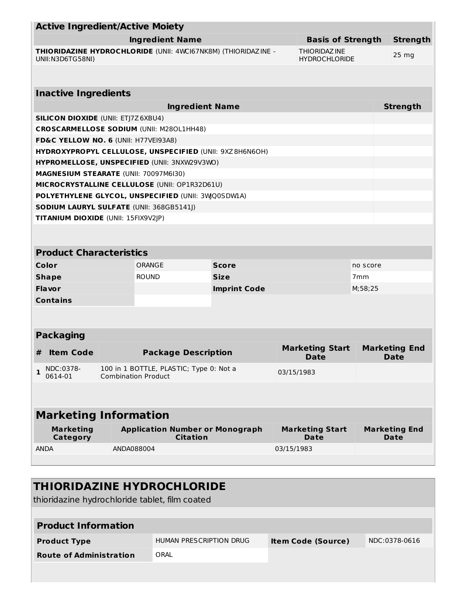| <b>Active Ingredient/Active Moiety</b>                                                                                            |                                                                                     |                            |                                                         |                                       |                              |                                     |  |  |  |
|-----------------------------------------------------------------------------------------------------------------------------------|-------------------------------------------------------------------------------------|----------------------------|---------------------------------------------------------|---------------------------------------|------------------------------|-------------------------------------|--|--|--|
|                                                                                                                                   | <b>Basis of Strength</b>                                                            | <b>Strength</b>            |                                                         |                                       |                              |                                     |  |  |  |
| THIORIDAZINE HYDROCHLORIDE (UNII: 4WCI67NK8M) (THIORIDAZINE -<br><b>THIORIDAZ INE</b><br>UNII:N3D6TG58NI)<br><b>HYDROCHLORIDE</b> |                                                                                     |                            |                                                         |                                       |                              | $25 \, mg$                          |  |  |  |
|                                                                                                                                   |                                                                                     |                            |                                                         |                                       |                              |                                     |  |  |  |
| <b>Inactive Ingredients</b>                                                                                                       |                                                                                     |                            |                                                         |                                       |                              |                                     |  |  |  |
| <b>Ingredient Name</b><br><b>Strength</b>                                                                                         |                                                                                     |                            |                                                         |                                       |                              |                                     |  |  |  |
|                                                                                                                                   | <b>SILICON DIOXIDE (UNII: ETJ7Z6XBU4)</b>                                           |                            |                                                         |                                       |                              |                                     |  |  |  |
| <b>CROSCARMELLOSE SODIUM (UNII: M280L1HH48)</b>                                                                                   |                                                                                     |                            |                                                         |                                       |                              |                                     |  |  |  |
| FD&C YELLOW NO. 6 (UNII: H77VEI93A8)                                                                                              |                                                                                     |                            |                                                         |                                       |                              |                                     |  |  |  |
|                                                                                                                                   |                                                                                     |                            | HYDROXYPROPYL CELLULOSE, UNSPECIFIED (UNII: 9XZ8H6N6OH) |                                       |                              |                                     |  |  |  |
| HYPROMELLOSE, UNSPECIFIED (UNII: 3NXW29V3WO)                                                                                      |                                                                                     |                            |                                                         |                                       |                              |                                     |  |  |  |
| MAGNESIUM STEARATE (UNII: 70097M6I30)                                                                                             |                                                                                     |                            |                                                         |                                       |                              |                                     |  |  |  |
| MICROCRYSTALLINE CELLULOSE (UNII: OP1R32D61U)                                                                                     |                                                                                     |                            |                                                         |                                       |                              |                                     |  |  |  |
| POLYETHYLENE GLYCOL, UNSPECIFIED (UNII: 3WQ0SDWLA)                                                                                |                                                                                     |                            |                                                         |                                       |                              |                                     |  |  |  |
| SODIUM LAURYL SULFATE (UNII: 368GB5141J)                                                                                          |                                                                                     |                            |                                                         |                                       |                              |                                     |  |  |  |
| <b>TITANIUM DIOXIDE (UNII: 15FIX9V2JP)</b>                                                                                        |                                                                                     |                            |                                                         |                                       |                              |                                     |  |  |  |
|                                                                                                                                   |                                                                                     |                            |                                                         |                                       |                              |                                     |  |  |  |
| <b>Product Characteristics</b>                                                                                                    |                                                                                     |                            |                                                         |                                       |                              |                                     |  |  |  |
| Color                                                                                                                             |                                                                                     | ORANGE                     | <b>Score</b>                                            |                                       | no score                     |                                     |  |  |  |
| <b>Shape</b>                                                                                                                      |                                                                                     | <b>ROUND</b>               | <b>Size</b>                                             |                                       | 7 <sub>mm</sub>              |                                     |  |  |  |
| Flavor                                                                                                                            |                                                                                     |                            | <b>Imprint Code</b>                                     |                                       | M;58;25                      |                                     |  |  |  |
| <b>Contains</b>                                                                                                                   |                                                                                     |                            |                                                         |                                       |                              |                                     |  |  |  |
|                                                                                                                                   |                                                                                     |                            |                                                         |                                       |                              |                                     |  |  |  |
| <b>Packaging</b>                                                                                                                  |                                                                                     |                            |                                                         |                                       |                              |                                     |  |  |  |
| <b>Item Code</b><br>#                                                                                                             |                                                                                     | <b>Package Description</b> |                                                         | <b>Marketing Start</b><br>Date        | <b>Marketing End</b><br>Date |                                     |  |  |  |
| NDC:0378-<br>$\mathbf{1}$<br>0614-01                                                                                              | 100 in 1 BOTTLE, PLASTIC; Type 0: Not a<br>03/15/1983<br><b>Combination Product</b> |                            |                                                         |                                       |                              |                                     |  |  |  |
|                                                                                                                                   |                                                                                     |                            |                                                         |                                       |                              |                                     |  |  |  |
| <b>Marketing Information</b>                                                                                                      |                                                                                     |                            |                                                         |                                       |                              |                                     |  |  |  |
| <b>Marketing</b><br><b>Category</b>                                                                                               |                                                                                     | <b>Citation</b>            | <b>Application Number or Monograph</b>                  | <b>Marketing Start</b><br><b>Date</b> |                              | <b>Marketing End</b><br><b>Date</b> |  |  |  |
| <b>ANDA</b>                                                                                                                       |                                                                                     | ANDA088004                 |                                                         | 03/15/1983                            |                              |                                     |  |  |  |
|                                                                                                                                   |                                                                                     |                            |                                                         |                                       |                              |                                     |  |  |  |
|                                                                                                                                   |                                                                                     |                            |                                                         |                                       |                              |                                     |  |  |  |

| <b>THIORIDAZINE HYDROCHLORIDE</b><br>thioridazine hydrochloride tablet, film coated |                         |                           |               |  |  |  |  |  |
|-------------------------------------------------------------------------------------|-------------------------|---------------------------|---------------|--|--|--|--|--|
| <b>Product Information</b>                                                          |                         |                           |               |  |  |  |  |  |
| <b>Product Type</b>                                                                 | HUMAN PRESCRIPTION DRUG | <b>Item Code (Source)</b> | NDC:0378-0616 |  |  |  |  |  |
| <b>Route of Administration</b><br>ORAL                                              |                         |                           |               |  |  |  |  |  |
|                                                                                     |                         |                           |               |  |  |  |  |  |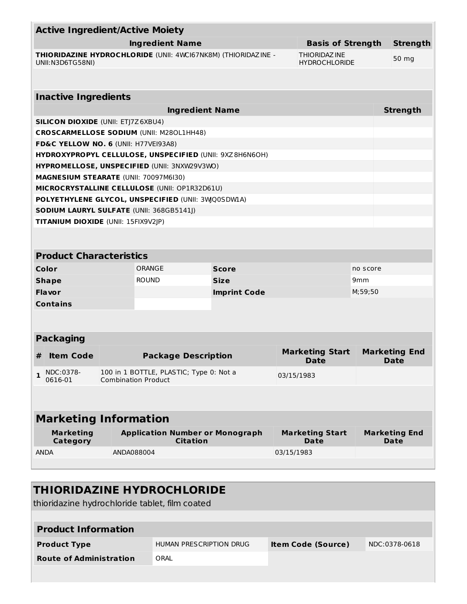| <b>Active Ingredient/Active Moiety</b>                                                                                     |                                                                                                             |  |                                                           |                     |                                       |                 |                                     |  |
|----------------------------------------------------------------------------------------------------------------------------|-------------------------------------------------------------------------------------------------------------|--|-----------------------------------------------------------|---------------------|---------------------------------------|-----------------|-------------------------------------|--|
|                                                                                                                            | <b>Ingredient Name</b><br><b>Basis of Strength</b>                                                          |  |                                                           |                     |                                       | <b>Strength</b> |                                     |  |
| THIORIDAZINE HYDROCHLORIDE (UNII: 4WCI67NK8M) (THIORIDAZINE -<br>THIORIDAZ INE<br>UNII:N3D6TG58NI)<br><b>HYDROCHLORIDE</b> |                                                                                                             |  |                                                           | 50 mg               |                                       |                 |                                     |  |
|                                                                                                                            |                                                                                                             |  |                                                           |                     |                                       |                 |                                     |  |
|                                                                                                                            | <b>Inactive Ingredients</b>                                                                                 |  |                                                           |                     |                                       |                 |                                     |  |
|                                                                                                                            |                                                                                                             |  | <b>Ingredient Name</b>                                    |                     |                                       |                 | <b>Strength</b>                     |  |
|                                                                                                                            | <b>SILICON DIOXIDE (UNII: ETJ7Z6XBU4)</b>                                                                   |  |                                                           |                     |                                       |                 |                                     |  |
|                                                                                                                            |                                                                                                             |  | <b>CROSCARMELLOSE SODIUM (UNII: M280L1HH48)</b>           |                     |                                       |                 |                                     |  |
|                                                                                                                            | FD&C YELLOW NO. 6 (UNII: H77VEI93A8)                                                                        |  |                                                           |                     |                                       |                 |                                     |  |
|                                                                                                                            |                                                                                                             |  | HYDROXYPROPYL CELLULOSE, UNSPECIFIED (UNII: 9XZ8H6N6OH)   |                     |                                       |                 |                                     |  |
|                                                                                                                            |                                                                                                             |  | HYPROMELLOSE, UNSPECIFIED (UNII: 3NXW29V3WO)              |                     |                                       |                 |                                     |  |
|                                                                                                                            |                                                                                                             |  | MAGNESIUM STEARATE (UNII: 70097M6I30)                     |                     |                                       |                 |                                     |  |
|                                                                                                                            |                                                                                                             |  | MICROCRYSTALLINE CELLULOSE (UNII: OP1R32D61U)             |                     |                                       |                 |                                     |  |
|                                                                                                                            |                                                                                                             |  | POLYETHYLENE GLYCOL, UNSPECIFIED (UNII: 3WQ0SDWLA)        |                     |                                       |                 |                                     |  |
|                                                                                                                            |                                                                                                             |  | SODIUM LAURYL SULFATE (UNII: 368GB5141J)                  |                     |                                       |                 |                                     |  |
|                                                                                                                            | <b>TITANIUM DIOXIDE (UNII: 15FIX9V2JP)</b>                                                                  |  |                                                           |                     |                                       |                 |                                     |  |
|                                                                                                                            |                                                                                                             |  |                                                           |                     |                                       |                 |                                     |  |
|                                                                                                                            |                                                                                                             |  |                                                           |                     |                                       |                 |                                     |  |
|                                                                                                                            | <b>Product Characteristics</b>                                                                              |  |                                                           |                     |                                       |                 |                                     |  |
|                                                                                                                            | Color                                                                                                       |  | ORANGE                                                    | <b>Score</b>        |                                       | no score        |                                     |  |
|                                                                                                                            | <b>Shape</b>                                                                                                |  | <b>ROUND</b>                                              | <b>Size</b>         | 9mm                                   |                 |                                     |  |
|                                                                                                                            | <b>Flavor</b>                                                                                               |  |                                                           | <b>Imprint Code</b> |                                       | M; 59; 50       |                                     |  |
|                                                                                                                            | <b>Contains</b>                                                                                             |  |                                                           |                     |                                       |                 |                                     |  |
|                                                                                                                            |                                                                                                             |  |                                                           |                     |                                       |                 |                                     |  |
|                                                                                                                            |                                                                                                             |  |                                                           |                     |                                       |                 |                                     |  |
|                                                                                                                            | <b>Packaging</b>                                                                                            |  |                                                           |                     |                                       |                 |                                     |  |
| #                                                                                                                          | <b>Item Code</b>                                                                                            |  | <b>Package Description</b>                                |                     | <b>Marketing Start</b><br><b>Date</b> |                 | <b>Marketing End</b><br><b>Date</b> |  |
| $\mathbf{1}$                                                                                                               | 100 in 1 BOTTLE, PLASTIC; Type 0: Not a<br>NDC:0378-<br>03/15/1983<br>0616-01<br><b>Combination Product</b> |  |                                                           |                     |                                       |                 |                                     |  |
|                                                                                                                            |                                                                                                             |  |                                                           |                     |                                       |                 |                                     |  |
| <b>Marketing Information</b>                                                                                               |                                                                                                             |  |                                                           |                     |                                       |                 |                                     |  |
|                                                                                                                            | <b>Marketing</b><br>Category                                                                                |  | <b>Application Number or Monograph</b><br><b>Citation</b> |                     | <b>Marketing Start</b><br><b>Date</b> |                 | <b>Marketing End</b><br>Date        |  |
| <b>ANDA</b>                                                                                                                |                                                                                                             |  | ANDA088004                                                |                     | 03/15/1983                            |                 |                                     |  |
|                                                                                                                            |                                                                                                             |  |                                                           |                     |                                       |                 |                                     |  |

# **THIORIDAZINE HYDROCHLORIDE** thioridazine hydrochloride tablet, film coated **Product Information Product Type HUMAN PRESCRIPTION DRUG Item Code (Source)** NDC:0378-0618 **Route of Administration** ORAL